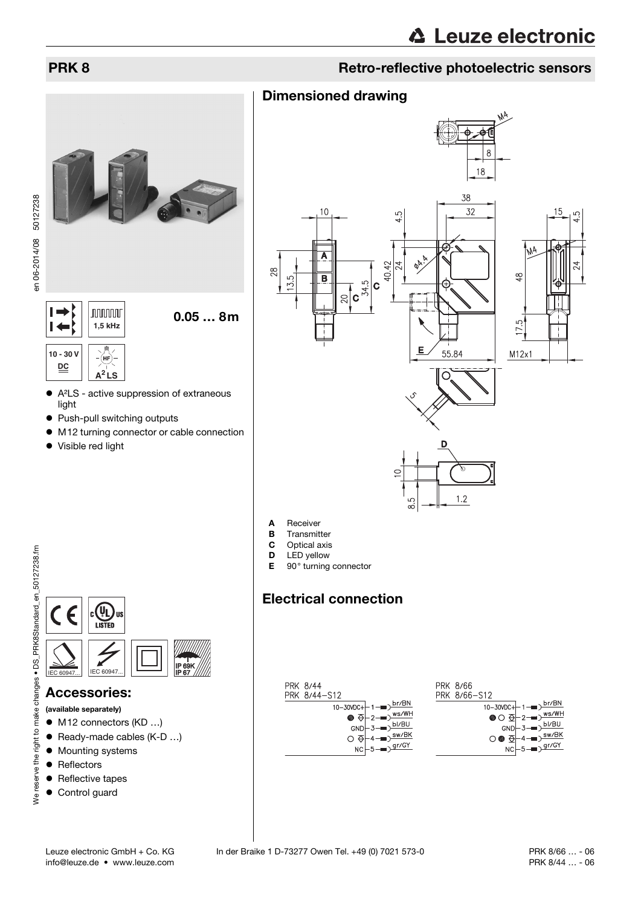# **PRK 8 Retro-reflective photoelectric sensors Retro-reflective photoelectric sensors**



 $\rightarrow$ **nnnnn**  $\blacksquare$ **1,5 kHz 10 - 30 V DC A<sup>2</sup> LS**

- A²LS active suppression of extraneous light
- Push-pull switching outputs
- M12 turning connector or cable connection

0.05 … 8m

• Visible red light



- 
- **B** Transmitter<br>**C** Optical axis
- Optical axis
- **D** LED yellow<br>**E** 90° turning
- 90° turning connector

Dimensioned drawing

# Electrical connection

| PRK 8/44<br>PRK 8/44-S12                                                                                                                                   | PRK 8/66<br>PRK 8/66-S12                                                                                                 |
|------------------------------------------------------------------------------------------------------------------------------------------------------------|--------------------------------------------------------------------------------------------------------------------------|
| 10-30VDC+ $\left 1-\right $ $\frac{\text{br/BN}}{}$                                                                                                        |                                                                                                                          |
| $\bullet$ $\overline{\Theta}$ -2- $\overline{\bullet}$ $\overline{\times}$ $\overline{\times}$ $\overline{\times}$ $\overline{\times}$ $\overline{\times}$ | 10-30VDC+ $1-\blacksquare$ $\frac{\text{br/BN}}{\text{WO}}$ $\bigoplus$ $2-\blacksquare$ $\frac{\text{ws/WH}}{\text{w}}$ |
| $GND - 3$ $\neg$ $D1/BU$                                                                                                                                   | $GND \left[-3 \rightarrow \frac{bI/BU}{2}\right]$                                                                        |
| $\overline{O}$ $\overline{\varphi}$ +4 $\overline{\longrightarrow}$ $\overline{\text{sw/BK}}$                                                              | $\bigcirc \bullet \oplus \dashv 4 \longrightarrow^{\text{sw/BK}}$                                                        |
| $NC \rightarrow 5 \rightarrow 9r/GY$                                                                                                                       | $NC \rightarrow 5 \rightarrow 9r/GY$                                                                                     |



## Accessories:

- (available separately)
- M12 connectors (KD ...)
- Ready-made cables (K-D ...)
- $\bullet$  Mounting systems
- Reflectors
- Reflective tapes
- **•** Control guard